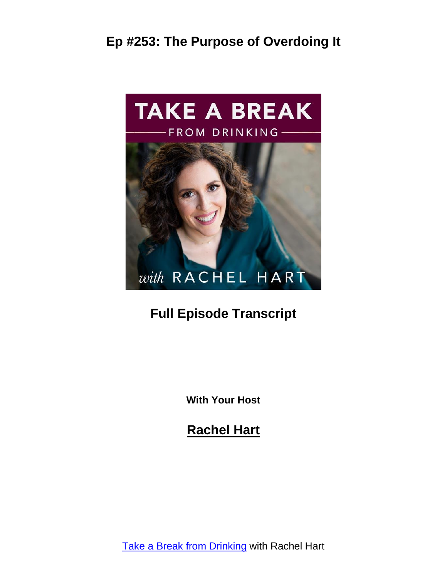

# **Full Episode Transcript**

**With Your Host**

**Rachel Hart**

Take a Break from [Drinking](https://www.rachelhart.com/podcast/) with Rachel Hart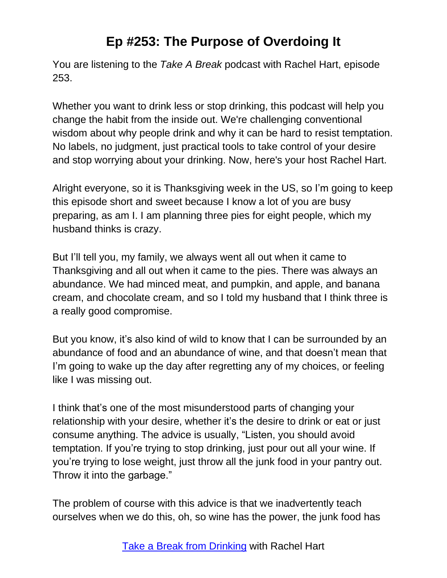You are listening to the *Take A Break* podcast with Rachel Hart, episode 253.

Whether you want to drink less or stop drinking, this podcast will help you change the habit from the inside out. We're challenging conventional wisdom about why people drink and why it can be hard to resist temptation. No labels, no judgment, just practical tools to take control of your desire and stop worrying about your drinking. Now, here's your host Rachel Hart.

Alright everyone, so it is Thanksgiving week in the US, so I'm going to keep this episode short and sweet because I know a lot of you are busy preparing, as am I. I am planning three pies for eight people, which my husband thinks is crazy.

But I'll tell you, my family, we always went all out when it came to Thanksgiving and all out when it came to the pies. There was always an abundance. We had minced meat, and pumpkin, and apple, and banana cream, and chocolate cream, and so I told my husband that I think three is a really good compromise.

But you know, it's also kind of wild to know that I can be surrounded by an abundance of food and an abundance of wine, and that doesn't mean that I'm going to wake up the day after regretting any of my choices, or feeling like I was missing out.

I think that's one of the most misunderstood parts of changing your relationship with your desire, whether it's the desire to drink or eat or just consume anything. The advice is usually, "Listen, you should avoid temptation. If you're trying to stop drinking, just pour out all your wine. If you're trying to lose weight, just throw all the junk food in your pantry out. Throw it into the garbage."

The problem of course with this advice is that we inadvertently teach ourselves when we do this, oh, so wine has the power, the junk food has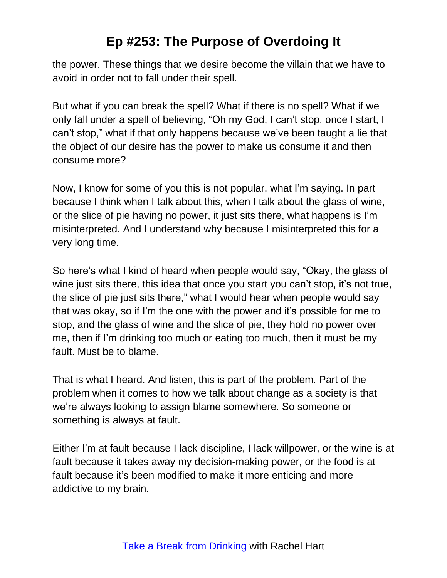the power. These things that we desire become the villain that we have to avoid in order not to fall under their spell.

But what if you can break the spell? What if there is no spell? What if we only fall under a spell of believing, "Oh my God, I can't stop, once I start, I can't stop," what if that only happens because we've been taught a lie that the object of our desire has the power to make us consume it and then consume more?

Now, I know for some of you this is not popular, what I'm saying. In part because I think when I talk about this, when I talk about the glass of wine, or the slice of pie having no power, it just sits there, what happens is I'm misinterpreted. And I understand why because I misinterpreted this for a very long time.

So here's what I kind of heard when people would say, "Okay, the glass of wine just sits there, this idea that once you start you can't stop, it's not true, the slice of pie just sits there," what I would hear when people would say that was okay, so if I'm the one with the power and it's possible for me to stop, and the glass of wine and the slice of pie, they hold no power over me, then if I'm drinking too much or eating too much, then it must be my fault. Must be to blame.

That is what I heard. And listen, this is part of the problem. Part of the problem when it comes to how we talk about change as a society is that we're always looking to assign blame somewhere. So someone or something is always at fault.

Either I'm at fault because I lack discipline, I lack willpower, or the wine is at fault because it takes away my decision-making power, or the food is at fault because it's been modified to make it more enticing and more addictive to my brain.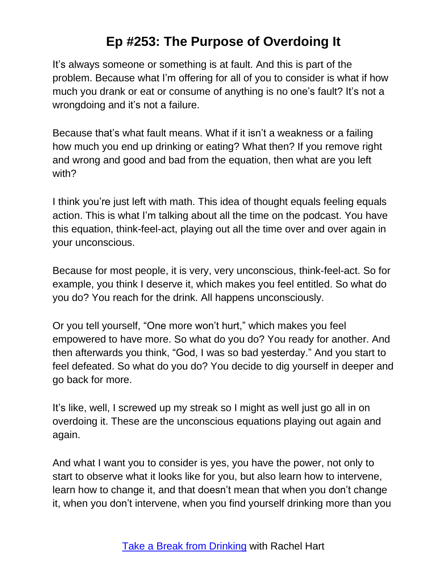It's always someone or something is at fault. And this is part of the problem. Because what I'm offering for all of you to consider is what if how much you drank or eat or consume of anything is no one's fault? It's not a wrongdoing and it's not a failure.

Because that's what fault means. What if it isn't a weakness or a failing how much you end up drinking or eating? What then? If you remove right and wrong and good and bad from the equation, then what are you left with?

I think you're just left with math. This idea of thought equals feeling equals action. This is what I'm talking about all the time on the podcast. You have this equation, think-feel-act, playing out all the time over and over again in your unconscious.

Because for most people, it is very, very unconscious, think-feel-act. So for example, you think I deserve it, which makes you feel entitled. So what do you do? You reach for the drink. All happens unconsciously.

Or you tell yourself, "One more won't hurt," which makes you feel empowered to have more. So what do you do? You ready for another. And then afterwards you think, "God, I was so bad yesterday." And you start to feel defeated. So what do you do? You decide to dig yourself in deeper and go back for more.

It's like, well, I screwed up my streak so I might as well just go all in on overdoing it. These are the unconscious equations playing out again and again.

And what I want you to consider is yes, you have the power, not only to start to observe what it looks like for you, but also learn how to intervene, learn how to change it, and that doesn't mean that when you don't change it, when you don't intervene, when you find yourself drinking more than you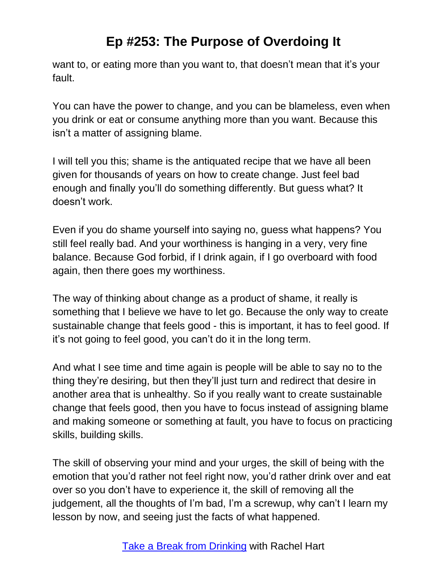want to, or eating more than you want to, that doesn't mean that it's your fault.

You can have the power to change, and you can be blameless, even when you drink or eat or consume anything more than you want. Because this isn't a matter of assigning blame.

I will tell you this; shame is the antiquated recipe that we have all been given for thousands of years on how to create change. Just feel bad enough and finally you'll do something differently. But guess what? It doesn't work.

Even if you do shame yourself into saying no, guess what happens? You still feel really bad. And your worthiness is hanging in a very, very fine balance. Because God forbid, if I drink again, if I go overboard with food again, then there goes my worthiness.

The way of thinking about change as a product of shame, it really is something that I believe we have to let go. Because the only way to create sustainable change that feels good - this is important, it has to feel good. If it's not going to feel good, you can't do it in the long term.

And what I see time and time again is people will be able to say no to the thing they're desiring, but then they'll just turn and redirect that desire in another area that is unhealthy. So if you really want to create sustainable change that feels good, then you have to focus instead of assigning blame and making someone or something at fault, you have to focus on practicing skills, building skills.

The skill of observing your mind and your urges, the skill of being with the emotion that you'd rather not feel right now, you'd rather drink over and eat over so you don't have to experience it, the skill of removing all the judgement, all the thoughts of I'm bad, I'm a screwup, why can't I learn my lesson by now, and seeing just the facts of what happened.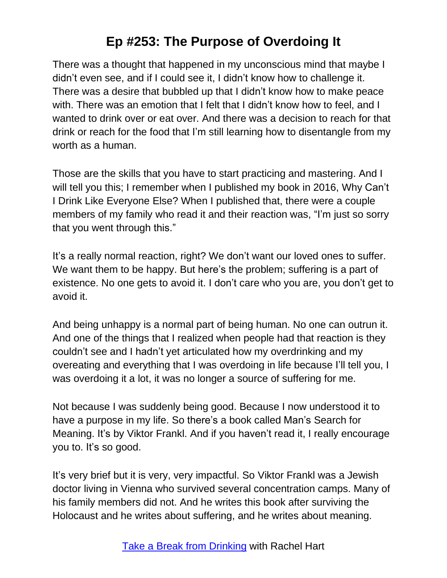There was a thought that happened in my unconscious mind that maybe I didn't even see, and if I could see it, I didn't know how to challenge it. There was a desire that bubbled up that I didn't know how to make peace with. There was an emotion that I felt that I didn't know how to feel, and I wanted to drink over or eat over. And there was a decision to reach for that drink or reach for the food that I'm still learning how to disentangle from my worth as a human.

Those are the skills that you have to start practicing and mastering. And I will tell you this; I remember when I published my book in 2016, Why Can't I Drink Like Everyone Else? When I published that, there were a couple members of my family who read it and their reaction was, "I'm just so sorry that you went through this."

It's a really normal reaction, right? We don't want our loved ones to suffer. We want them to be happy. But here's the problem; suffering is a part of existence. No one gets to avoid it. I don't care who you are, you don't get to avoid it.

And being unhappy is a normal part of being human. No one can outrun it. And one of the things that I realized when people had that reaction is they couldn't see and I hadn't yet articulated how my overdrinking and my overeating and everything that I was overdoing in life because I'll tell you, I was overdoing it a lot, it was no longer a source of suffering for me.

Not because I was suddenly being good. Because I now understood it to have a purpose in my life. So there's a book called Man's Search for Meaning. It's by Viktor Frankl. And if you haven't read it, I really encourage you to. It's so good.

It's very brief but it is very, very impactful. So Viktor Frankl was a Jewish doctor living in Vienna who survived several concentration camps. Many of his family members did not. And he writes this book after surviving the Holocaust and he writes about suffering, and he writes about meaning.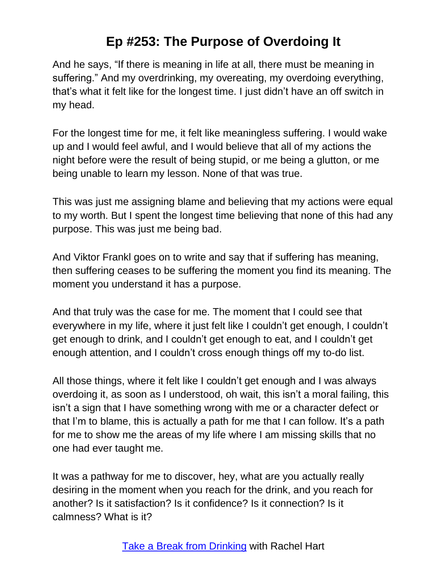And he says, "If there is meaning in life at all, there must be meaning in suffering." And my overdrinking, my overeating, my overdoing everything, that's what it felt like for the longest time. I just didn't have an off switch in my head.

For the longest time for me, it felt like meaningless suffering. I would wake up and I would feel awful, and I would believe that all of my actions the night before were the result of being stupid, or me being a glutton, or me being unable to learn my lesson. None of that was true.

This was just me assigning blame and believing that my actions were equal to my worth. But I spent the longest time believing that none of this had any purpose. This was just me being bad.

And Viktor Frankl goes on to write and say that if suffering has meaning, then suffering ceases to be suffering the moment you find its meaning. The moment you understand it has a purpose.

And that truly was the case for me. The moment that I could see that everywhere in my life, where it just felt like I couldn't get enough, I couldn't get enough to drink, and I couldn't get enough to eat, and I couldn't get enough attention, and I couldn't cross enough things off my to-do list.

All those things, where it felt like I couldn't get enough and I was always overdoing it, as soon as I understood, oh wait, this isn't a moral failing, this isn't a sign that I have something wrong with me or a character defect or that I'm to blame, this is actually a path for me that I can follow. It's a path for me to show me the areas of my life where I am missing skills that no one had ever taught me.

It was a pathway for me to discover, hey, what are you actually really desiring in the moment when you reach for the drink, and you reach for another? Is it satisfaction? Is it confidence? Is it connection? Is it calmness? What is it?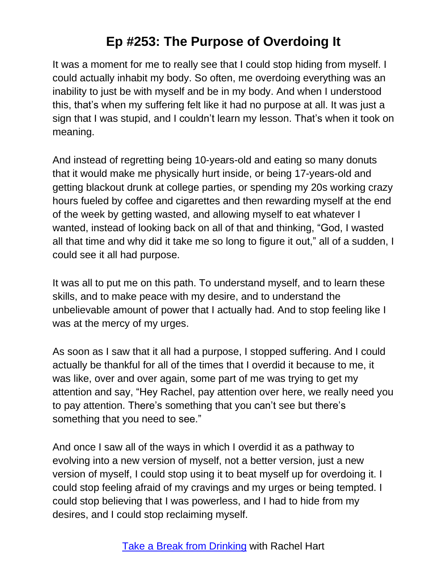It was a moment for me to really see that I could stop hiding from myself. I could actually inhabit my body. So often, me overdoing everything was an inability to just be with myself and be in my body. And when I understood this, that's when my suffering felt like it had no purpose at all. It was just a sign that I was stupid, and I couldn't learn my lesson. That's when it took on meaning.

And instead of regretting being 10-years-old and eating so many donuts that it would make me physically hurt inside, or being 17-years-old and getting blackout drunk at college parties, or spending my 20s working crazy hours fueled by coffee and cigarettes and then rewarding myself at the end of the week by getting wasted, and allowing myself to eat whatever I wanted, instead of looking back on all of that and thinking, "God, I wasted all that time and why did it take me so long to figure it out," all of a sudden, I could see it all had purpose.

It was all to put me on this path. To understand myself, and to learn these skills, and to make peace with my desire, and to understand the unbelievable amount of power that I actually had. And to stop feeling like I was at the mercy of my urges.

As soon as I saw that it all had a purpose, I stopped suffering. And I could actually be thankful for all of the times that I overdid it because to me, it was like, over and over again, some part of me was trying to get my attention and say, "Hey Rachel, pay attention over here, we really need you to pay attention. There's something that you can't see but there's something that you need to see."

And once I saw all of the ways in which I overdid it as a pathway to evolving into a new version of myself, not a better version, just a new version of myself, I could stop using it to beat myself up for overdoing it. I could stop feeling afraid of my cravings and my urges or being tempted. I could stop believing that I was powerless, and I had to hide from my desires, and I could stop reclaiming myself.